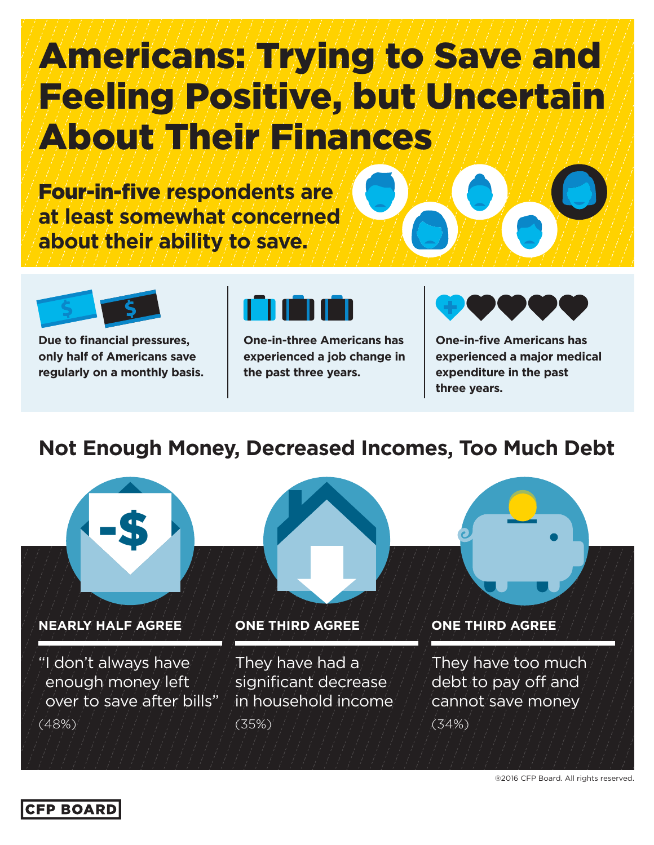# Americans: Trying to Save and Feeling Positive, but Uncertain About Their Finances

Four-in-five **respondents are at least somewhat concerned about their ability to save.**



**Due to financial pressures, only half of Americans save regularly on a monthly basis.**



**One-in-three Americans has experienced a job change in the past three years.**



**One-in-five Americans has experienced a major medical expenditure in the past three years.**

## **Not Enough Money, Decreased Incomes, Too Much Debt**



**NEARLY HALF AGREE** 

"I don't always have enough money left over to save after bills" (48%)



#### **ONE THIRD AGREE**

They have had a significant decrease in household income (35%)



They have too much debt to pay off and cannot save money (34%)

®2016 CFP Board. All rights reserved.